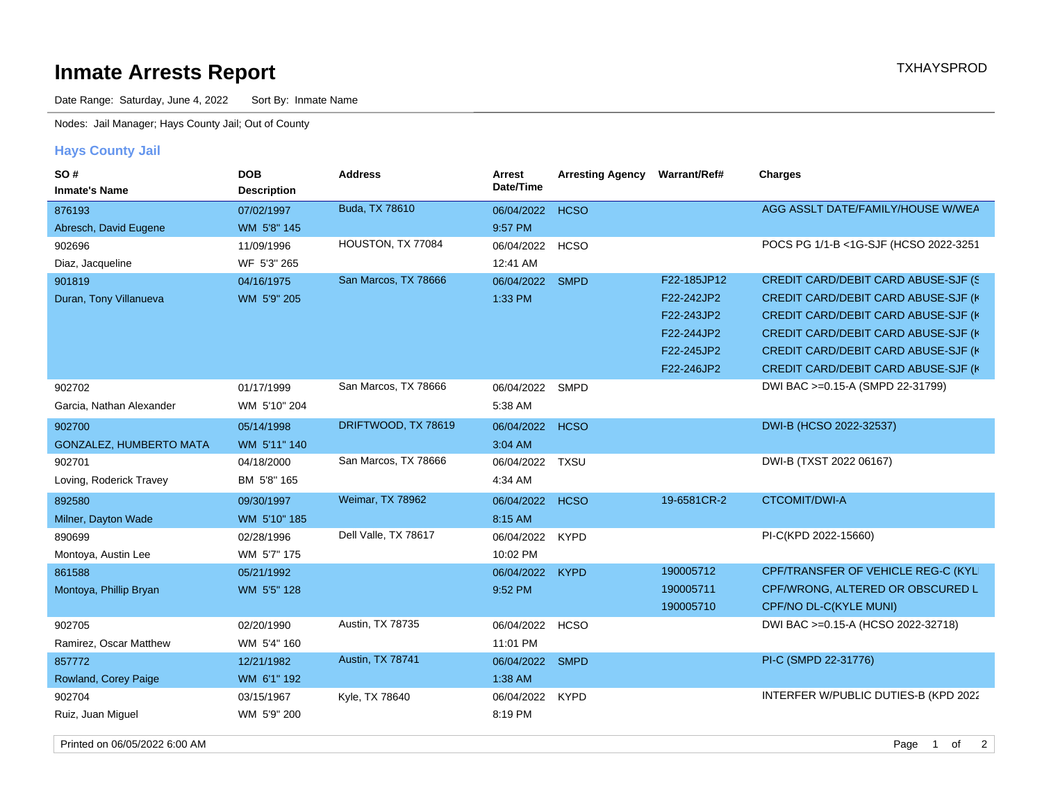## **Inmate Arrests Report TXHAYSPROD**

Date Range: Saturday, June 4, 2022 Sort By: Inmate Name

Nodes: Jail Manager; Hays County Jail; Out of County

## **Hays County Jail**

| SO#<br><b>Inmate's Name</b>    | <b>DOB</b><br><b>Description</b> | <b>Address</b>       | Arrest<br>Date/Time | <b>Arresting Agency</b> | <b>Warrant/Ref#</b> | <b>Charges</b>                                 |
|--------------------------------|----------------------------------|----------------------|---------------------|-------------------------|---------------------|------------------------------------------------|
| 876193                         | 07/02/1997                       | Buda, TX 78610       | 06/04/2022          | <b>HCSO</b>             |                     | AGG ASSLT DATE/FAMILY/HOUSE W/WEA              |
| Abresch, David Eugene          | WM 5'8" 145                      |                      | 9:57 PM             |                         |                     |                                                |
| 902696                         | 11/09/1996                       | HOUSTON, TX 77084    | 06/04/2022 HCSO     |                         |                     | POCS PG 1/1-B <1G-SJF (HCSO 2022-3251          |
| Diaz, Jacqueline               | WF 5'3" 265                      |                      | 12:41 AM            |                         |                     |                                                |
| 901819                         | 04/16/1975                       | San Marcos, TX 78666 | 06/04/2022 SMPD     |                         | F22-185JP12         | CREDIT CARD/DEBIT CARD ABUSE-SJF (S)           |
| Duran, Tony Villanueva         | WM 5'9" 205                      |                      | 1:33 PM             |                         | F22-242JP2          | <b>CREDIT CARD/DEBIT CARD ABUSE-SJF (K)</b>    |
|                                |                                  |                      |                     |                         | F22-243JP2          | <b>CREDIT CARD/DEBIT CARD ABUSE-SJF (K)</b>    |
|                                |                                  |                      |                     |                         | F22-244JP2          | CREDIT CARD/DEBIT CARD ABUSE-SJF (K            |
|                                |                                  |                      |                     |                         | F22-245JP2          | CREDIT CARD/DEBIT CARD ABUSE-SJF (K            |
|                                |                                  |                      |                     |                         | F22-246JP2          | CREDIT CARD/DEBIT CARD ABUSE-SJF (K            |
| 902702                         | 01/17/1999                       | San Marcos, TX 78666 | 06/04/2022          | SMPD                    |                     | DWI BAC >=0.15-A (SMPD 22-31799)               |
| Garcia, Nathan Alexander       | WM 5'10" 204                     |                      | 5:38 AM             |                         |                     |                                                |
| 902700                         | 05/14/1998                       | DRIFTWOOD, TX 78619  | 06/04/2022 HCSO     |                         |                     | DWI-B (HCSO 2022-32537)                        |
| <b>GONZALEZ, HUMBERTO MATA</b> | WM 5'11" 140                     |                      | 3:04 AM             |                         |                     |                                                |
| 902701                         | 04/18/2000                       | San Marcos, TX 78666 | 06/04/2022          | <b>TXSU</b>             |                     | DWI-B (TXST 2022 06167)                        |
| Loving, Roderick Travey        | BM 5'8" 165                      |                      | 4:34 AM             |                         |                     |                                                |
| 892580                         | 09/30/1997                       | Weimar, TX 78962     | 06/04/2022 HCSO     |                         | 19-6581CR-2         | <b>CTCOMIT/DWI-A</b>                           |
| Milner, Dayton Wade            | WM 5'10" 185                     |                      | 8:15 AM             |                         |                     |                                                |
| 890699                         | 02/28/1996                       | Dell Valle, TX 78617 | 06/04/2022          | <b>KYPD</b>             |                     | PI-C(KPD 2022-15660)                           |
| Montoya, Austin Lee            | WM 5'7" 175                      |                      | 10:02 PM            |                         |                     |                                                |
| 861588                         | 05/21/1992                       |                      | 06/04/2022 KYPD     |                         | 190005712           | CPF/TRANSFER OF VEHICLE REG-C (KYLI)           |
| Montoya, Phillip Bryan         | WM 5'5" 128                      |                      | 9:52 PM             |                         | 190005711           | CPF/WRONG, ALTERED OR OBSCURED L               |
|                                |                                  |                      |                     |                         | 190005710           | CPF/NO DL-C(KYLE MUNI)                         |
| 902705                         | 02/20/1990                       | Austin, TX 78735     | 06/04/2022 HCSO     |                         |                     | DWI BAC >=0.15-A (HCSO 2022-32718)             |
| Ramirez, Oscar Matthew         | WM 5'4" 160                      |                      | 11:01 PM            |                         |                     |                                                |
| 857772                         | 12/21/1982                       | Austin, TX 78741     | 06/04/2022 SMPD     |                         |                     | PI-C (SMPD 22-31776)                           |
| Rowland, Corey Paige           | WM 6'1" 192                      |                      | 1:38 AM             |                         |                     |                                                |
| 902704                         | 03/15/1967                       | Kyle, TX 78640       | 06/04/2022          | <b>KYPD</b>             |                     | INTERFER W/PUBLIC DUTIES-B (KPD 2022           |
| Ruiz, Juan Miguel              | WM 5'9" 200                      |                      | 8:19 PM             |                         |                     |                                                |
| Printed on 06/05/2022 6:00 AM  |                                  |                      |                     |                         |                     | $\overline{1}$<br>of<br>$\overline{2}$<br>Page |